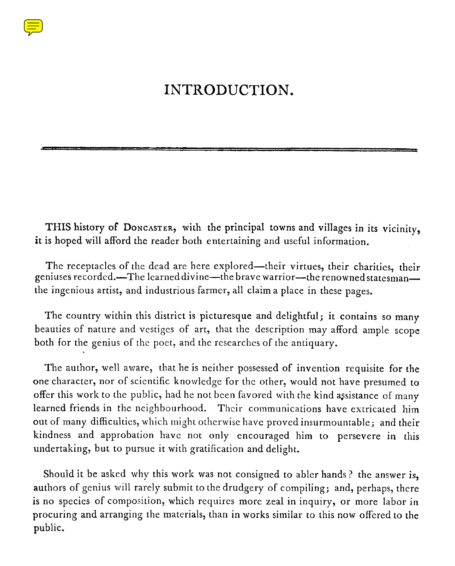## INTRODUCTION.

**THIS history of DONCASTER, with the principal towns and villages in its vicinity, it is hoped will afford the reader both entertaining and useful information.**

The receptacles of the dead are here explored—their virtues, their charities, their geniuses recorded.—The learned divine—the brave warrior—the renowned statesman the ingenious artist, and industrious farmer, all claim a place in these pages.

The country within this district is picturesque and delightful; it contains so many beauties of nature and vestiges of art, that the description may afford ample scope both for the genius of the poet, and the researches of the antiquary.

The author, well aware, that he is neither possessed of invention requisite for the one character, nor of scientific knowledge for the other, would not have presumed to offer this work to the public, had he not been favored with the kind assistance of many learned friends in the neighbourhood. Their communications have extricated him out of many difficulties, which might otherwise have proved insurmountable ; and their kindness and approbation have not only encouraged him to persevere in this undertaking, but to pursue it with gratification and delight.

Should it be asked why this work was not consigned to abler hands ? the answer is, authors of genius will rarely submit to the drudgery of compiling; and, perhaps, there is no species of composition, which requires more zeal in inquiry, or more labor in procuring and arranging the materials, than in works similar to this now offered to the public.